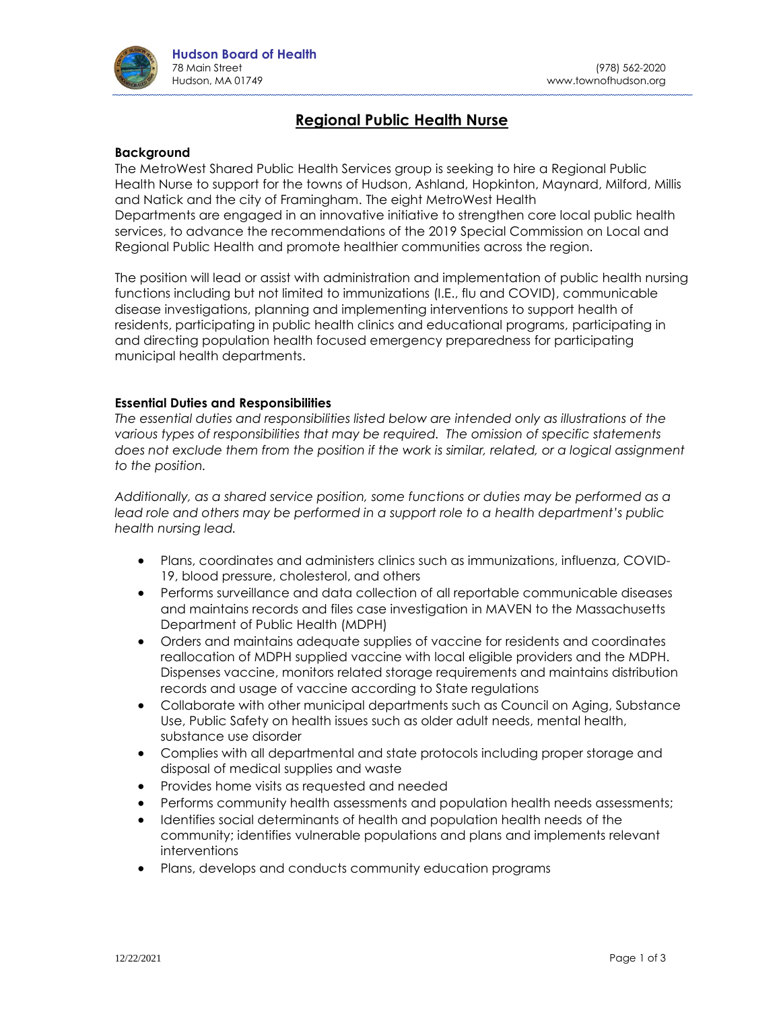

# **Regional Public Health Nurse**

#### **Background**

The MetroWest Shared Public Health Services group is seeking to hire a Regional Public Health Nurse to support for the towns of Hudson, Ashland, Hopkinton, Maynard, Milford, Millis and Natick and the city of Framingham. The eight MetroWest Health Departments are engaged in an innovative initiative to strengthen core local public health services, to advance the recommendations of the 2019 Special Commission on Local and Regional Public Health and promote healthier communities across the region.

The position will lead or assist with administration and implementation of public health nursing functions including but not limited to immunizations (I.E., flu and COVID), communicable disease investigations, planning and implementing interventions to support health of residents, participating in public health clinics and educational programs, participating in and directing population health focused emergency preparedness for participating municipal health departments.

#### **Essential Duties and Responsibilities**

*The essential duties and responsibilities listed below are intended only as illustrations of the various types of responsibilities that may be required. The omission of specific statements does not exclude them from the position if the work is similar, related, or a logical assignment to the position.*

*Additionally, as a shared service position, some functions or duties may be performed as a lead role and others may be performed in a support role to a health department's public health nursing lead.*

- Plans, coordinates and administers clinics such as immunizations, influenza, COVID-19, blood pressure, cholesterol, and others
- Performs surveillance and data collection of all reportable communicable diseases and maintains records and files case investigation in MAVEN to the Massachusetts Department of Public Health (MDPH)
- Orders and maintains adequate supplies of vaccine for residents and coordinates reallocation of MDPH supplied vaccine with local eligible providers and the MDPH. Dispenses vaccine, monitors related storage requirements and maintains distribution records and usage of vaccine according to State regulations
- Collaborate with other municipal departments such as Council on Aging, Substance Use, Public Safety on health issues such as older adult needs, mental health, substance use disorder
- Complies with all departmental and state protocols including proper storage and disposal of medical supplies and waste
- Provides home visits as requested and needed
- Performs community health assessments and population health needs assessments;
- Identifies social determinants of health and population health needs of the community; identifies vulnerable populations and plans and implements relevant interventions
- Plans, develops and conducts community education programs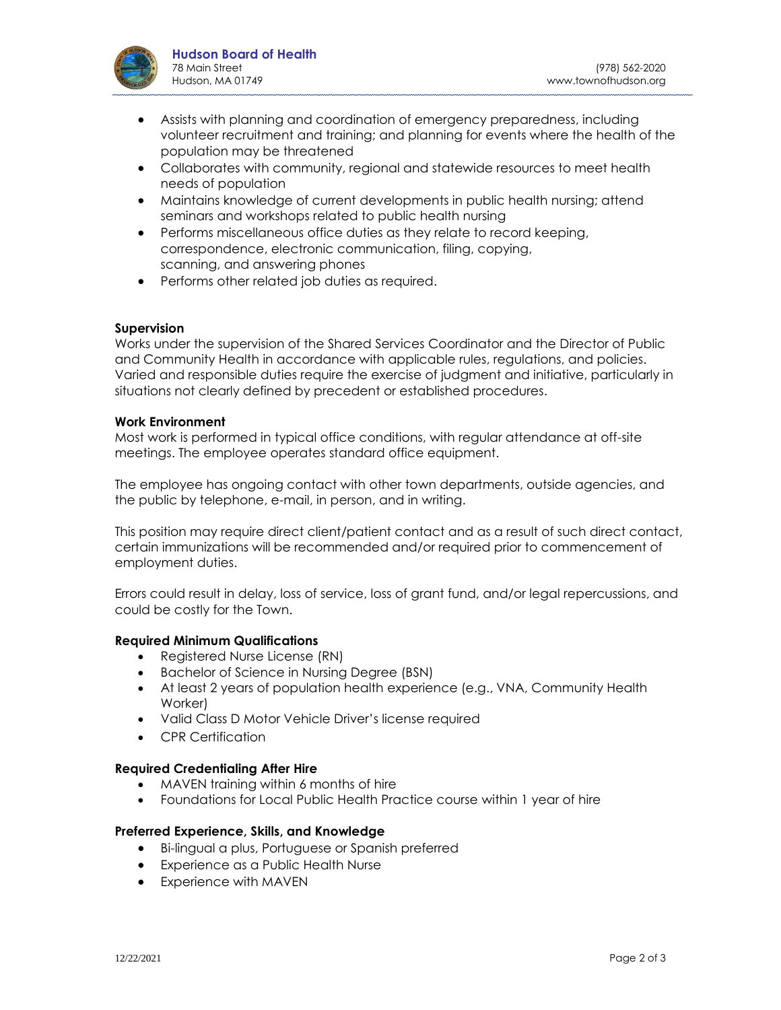

- Assists with planning and coordination of emergency preparedness, including volunteer recruitment and training; and planning for events where the health of the population may be threatened
- Collaborates with community, regional and statewide resources to meet health needs of population
- Maintains knowledge of current developments in public health nursing; attend seminars and workshops related to public health nursing
- Performs miscellaneous office duties as they relate to record keeping, correspondence, electronic communication, filing, copying, scanning, and answering phones
- Performs other related job duties as required.

## **Supervision**

Works under the supervision of the Shared Services Coordinator and the Director of Public and Community Health in accordance with applicable rules, regulations, and policies. Varied and responsible duties require the exercise of judgment and initiative, particularly in situations not clearly defined by precedent or established procedures.

#### **Work Environment**

Most work is performed in typical office conditions, with regular attendance at off-site meetings. The employee operates standard office equipment.

The employee has ongoing contact with other town departments, outside agencies, and the public by telephone, e-mail, in person, and in writing.

This position may require direct client/patient contact and as a result of such direct contact, certain immunizations will be recommended and/or required prior to commencement of employment duties.

Errors could result in delay, loss of service, loss of grant fund, and/or legal repercussions, and could be costly for the Town.

## **Required Minimum Qualifications**

- Registered Nurse License (RN)
- Bachelor of Science in Nursing Degree (BSN)
- At least 2 years of population health experience (e.g., VNA, Community Health Worker)
- Valid Class D Motor Vehicle Driver's license required
- CPR Certification

## **Required Credentialing After Hire**

- MAVEN training within 6 months of hire
- Foundations for Local Public Health Practice course within 1 year of hire

#### **Preferred Experience, Skills, and Knowledge**

- Bi-lingual a plus, Portuguese or Spanish preferred
- Experience as a Public Health Nurse
- Experience with MAVEN